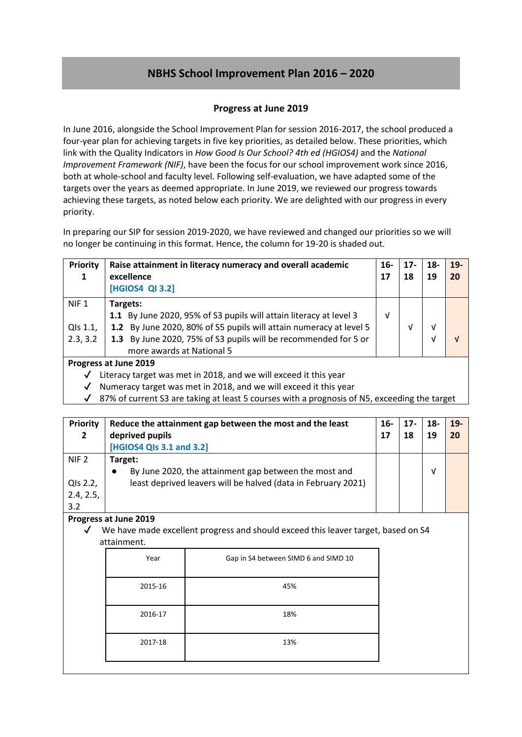# **NBHS School Improvement Plan 2016 – 2020**

### **Progress at June 2019**

In June 2016, alongside the School Improvement Plan for session 2016-2017, the school produced a four-year plan for achieving targets in five key priorities, as detailed below. These priorities, which link with the Quality Indicators in *How Good Is Our School? 4th ed (HGIOS4)* and the *National Improvement Framework (NIF)*, have been the focus for our school improvement work since 2016, both at whole-school and faculty level. Following self-evaluation, we have adapted some of the targets over the years as deemed appropriate. In June 2019, we reviewed our progress towards achieving these targets, as noted below each priority. We are delighted with our progress in every priority.

In preparing our SIP for session 2019-2020, we have reviewed and changed our priorities so we will no longer be continuing in this format. Hence, the column for 19-20 is shaded out.

| <b>Priority</b><br>1                     | Raise attainment in literacy numeracy and overall academic<br>excellence<br>[HGIOS4 QI 3.2]                                                                                                                                                          |   | $17 -$<br>18 | $18-$<br>19 | $19-$<br>20 |
|------------------------------------------|------------------------------------------------------------------------------------------------------------------------------------------------------------------------------------------------------------------------------------------------------|---|--------------|-------------|-------------|
| NIF <sub>1</sub><br>QIs 1.1,<br>2.3, 3.2 | Targets:<br>1.1 By June 2020, 95% of S3 pupils will attain literacy at level 3<br>1.2 By June 2020, 80% of S5 pupils will attain numeracy at level 5<br>1.3 By June 2020, 75% of S3 pupils will be recommended for 5 or<br>more awards at National 5 | V | ν            | V<br>ν      | V           |
| Progress at June 2019                    |                                                                                                                                                                                                                                                      |   |              |             |             |

 $\checkmark$  Literacy target was met in 2018, and we will exceed it this year

✔ Numeracy target was met in 2018, and we will exceed it this year

 $\sqrt{87\%}$  of current S3 are taking at least 5 courses with a prognosis of N5, exceeding the target

| Priority<br>$\overline{2}$ | Reduce the attainment gap between the most and the least<br>deprived pupils | 16-<br>17 | $17-$<br>18 | 18-<br>19 | $19-$<br>20 |
|----------------------------|-----------------------------------------------------------------------------|-----------|-------------|-----------|-------------|
|                            | [HGIOS4 QIs 3.1 and 3.2]                                                    |           |             |           |             |
| NIF <sub>2</sub>           | Target:                                                                     |           |             |           |             |
|                            | By June 2020, the attainment gap between the most and<br>$\bullet$          |           |             | ν         |             |
| QIs 2.2,                   | least deprived leavers will be halved (data in February 2021)               |           |             |           |             |
| 2.4, 2.5,                  |                                                                             |           |             |           |             |
| 3.2                        |                                                                             |           |             |           |             |

#### **Progress at June 2019**

 $\checkmark$  We have made excellent progress and should exceed this leaver target, based on S4 attainment.

| Year    | Gap in S4 between SIMD 6 and SIMD 10 |
|---------|--------------------------------------|
| 2015-16 | 45%                                  |
| 2016-17 | 18%                                  |
| 2017-18 | 13%                                  |